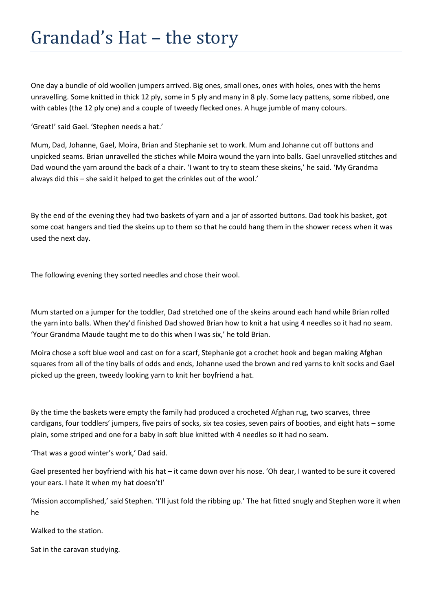One day a bundle of old woollen jumpers arrived. Big ones, small ones, ones with holes, ones with the hems unravelling. Some knitted in thick 12 ply, some in 5 ply and many in 8 ply. Some lacy pattens, some ribbed, one with cables (the 12 ply one) and a couple of tweedy flecked ones. A huge jumble of many colours.

'Great!' said Gael. 'Stephen needs a hat.'

Mum, Dad, Johanne, Gael, Moira, Brian and Stephanie set to work. Mum and Johanne cut off buttons and unpicked seams. Brian unravelled the stiches while Moira wound the yarn into balls. Gael unravelled stitches and Dad wound the yarn around the back of a chair. 'I want to try to steam these skeins,' he said. 'My Grandma always did this – she said it helped to get the crinkles out of the wool.'

By the end of the evening they had two baskets of yarn and a jar of assorted buttons. Dad took his basket, got some coat hangers and tied the skeins up to them so that he could hang them in the shower recess when it was used the next day.

The following evening they sorted needles and chose their wool.

Mum started on a jumper for the toddler, Dad stretched one of the skeins around each hand while Brian rolled the yarn into balls. When they'd finished Dad showed Brian how to knit a hat using 4 needles so it had no seam. 'Your Grandma Maude taught me to do this when I was six,' he told Brian.

Moira chose a soft blue wool and cast on for a scarf, Stephanie got a crochet hook and began making Afghan squares from all of the tiny balls of odds and ends, Johanne used the brown and red yarns to knit socks and Gael picked up the green, tweedy looking yarn to knit her boyfriend a hat.

By the time the baskets were empty the family had produced a crocheted Afghan rug, two scarves, three cardigans, four toddlers' jumpers, five pairs of socks, six tea cosies, seven pairs of booties, and eight hats – some plain, some striped and one for a baby in soft blue knitted with 4 needles so it had no seam.

'That was a good winter's work,' Dad said.

Gael presented her boyfriend with his hat – it came down over his nose. 'Oh dear, I wanted to be sure it covered your ears. I hate it when my hat doesn't!'

'Mission accomplished,' said Stephen. 'I'll just fold the ribbing up.' The hat fitted snugly and Stephen wore it when he

Walked to the station.

Sat in the caravan studying.